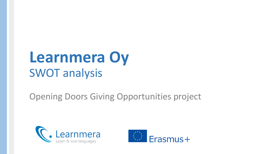# **Learnmera Oy** SWOT analysis

#### Opening Doors Giving Opportunities project



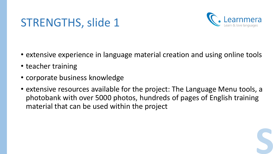#### STRENGTHS, slide 1



**S**

- extensive experience in language material creation and using online tools
- teacher training
- corporate business knowledge
- extensive resources available for the project: The Language Menu tools, a photobank with over 5000 photos, hundreds of pages of English training material that can be used within the project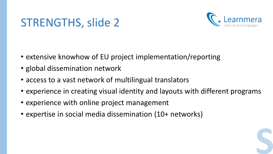### STRENGTHS, slide 2



**S**

- extensive knowhow of EU project implementation/reporting
- global dissemination network
- access to a vast network of multilingual translators
- experience in creating visual identity and layouts with different programs
- experience with online project management
- expertise in social media dissemination (10+ networks)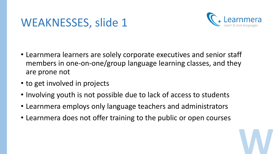#### WEAKNESSES, slide 1



**W**

- Learnmera learners are solely corporate executives and senior staff members in one-on-one/group language learning classes, and they are prone not
- to get involved in projects
- Involving youth is not possible due to lack of access to students
- Learnmera employs only language teachers and administrators
- Learnmera does not offer training to the public or open courses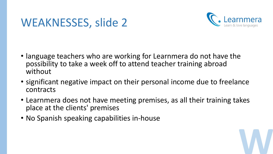### WEAKNESSES, slide 2



**W**

- language teachers who are working for Learnmera do not have the possibility to take a week off to attend teacher training abroad without
- significant negative impact on their personal income due to freelance contracts
- Learnmera does not have meeting premises, as all their training takes place at the clients' premises
- No Spanish speaking capabilities in-house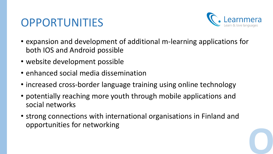## OPPORTUNITIES



**O**

- expansion and development of additional m-learning applications for both IOS and Android possible
- website development possible
- enhanced social media dissemination
- increased cross-border language training using online technology
- potentially reaching more youth through mobile applications and social networks
- strong connections with international organisations in Finland and opportunities for networking